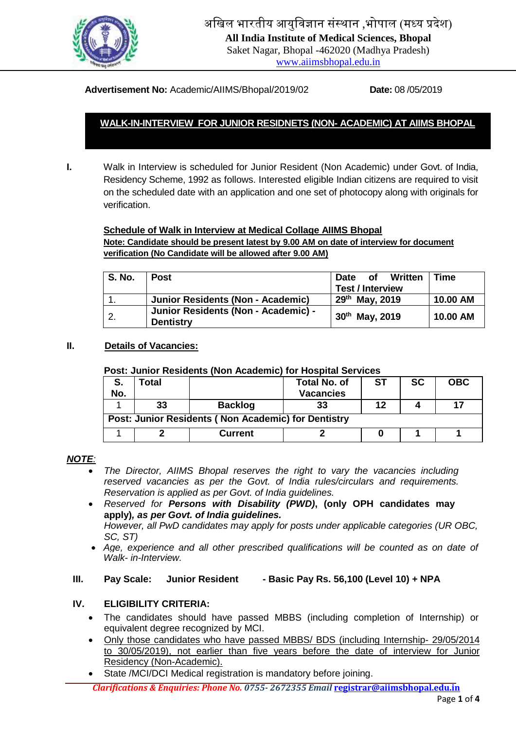

अखिल भारतीय आयुखिज्ञान संस्थान ,भोपाल (मध्य प्रदेश) **All India Institute of Medical Sciences, Bhopal** Saket Nagar, Bhopal -462020 (Madhya Pradesh)

[www.aiimsbhopal.edu.in](http://www.aiimsbhopal.edu.in/)

### **Advertisement No:** Academic/AIIMS/Bhopal/2019/02 **Date:** 08 /05/2019

# **WALK-IN-INTERVIEW FOR JUNIOR RESIDNETS (NON- ACADEMIC) AT AIIMS BHOPAL**

**I.** Walk in Interview is scheduled for Junior Resident (Non Academic) under Govt. of India, Residency Scheme, 1992 as follows. Interested eligible Indian citizens are required to visit on the scheduled date with an application and one set of photocopy along with originals for verification.

#### **Schedule of Walk in Interview at Medical Collage AIIMS Bhopal**

**Note: Candidate should be present latest by 9.00 AM on date of interview for document verification (No Candidate will be allowed after 9.00 AM)**

| <b>S. No.</b> | <b>Post</b>                                             | of Written<br>Date<br><b>Test / Interview</b> | <b>Time</b> |
|---------------|---------------------------------------------------------|-----------------------------------------------|-------------|
|               | Junior Residents (Non - Academic)                       | $29th$ May, 2019                              | 10.00 AM    |
|               | Junior Residents (Non - Academic) -<br><b>Dentistry</b> | 30 <sup>th</sup> May, 2019                    | 10.00 AM    |

### **II. Details of Vacancies:**

#### **Post: Junior Residents (Non Academic) for Hospital Services**

| S.<br>No.                                           | Total |                | <b>Total No. of</b><br><b>Vacancies</b> | <b>ST</b> | <b>SC</b> | <b>OBC</b> |  |  |
|-----------------------------------------------------|-------|----------------|-----------------------------------------|-----------|-----------|------------|--|--|
|                                                     | 33    | <b>Backlog</b> | 33                                      | 12        |           | 17         |  |  |
| Post: Junior Residents (Non Academic) for Dentistry |       |                |                                         |           |           |            |  |  |
|                                                     |       |                |                                         |           |           |            |  |  |
|                                                     |       | <b>Current</b> |                                         |           |           |            |  |  |

#### *NOTE:*

- *The Director, AIIMS Bhopal reserves the right to vary the vacancies including reserved vacancies as per the Govt. of India rules/circulars and requirements. Reservation is applied as per Govt. of India guidelines.*
- *Reserved for Persons with Disability (PWD)***, (only OPH candidates may apply)***, as per Govt. of India guidelines. However, all PwD candidates may apply for posts under applicable categories (UR OBC, SC, ST)*
- *Age, experience and all other prescribed qualifications will be counted as on date of Walk- in-Interview.*

#### **III. Pay Scale: Junior Resident - Basic Pay Rs. 56,100 (Level 10) + NPA**

### **IV. ELIGIBILITY CRITERIA:**

- The candidates should have passed MBBS (including completion of Internship) or equivalent degree recognized by MCI.
- Only those candidates who have passed MBBS/ BDS (including Internship- 29/05/2014 to 30/05/2019), not earlier than five years before the date of interview for Junior Residency (Non-Academic).
- State /MCI/DCI Medical registration is mandatory before joining.

*Clarifications & Enquiries: Phone No. 0755- 2672355 Email* **registrar@aiimsbhopal.edu.in**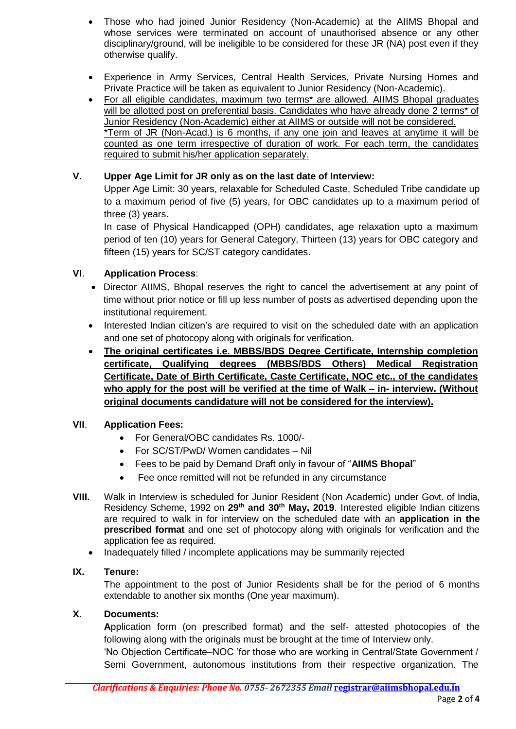- Those who had joined Junior Residency (Non-Academic) at the AIIMS Bhopal and whose services were terminated on account of unauthorised absence or any other disciplinary/ground, will be ineligible to be considered for these JR (NA) post even if they otherwise qualify.
- Experience in Army Services, Central Health Services, Private Nursing Homes and Private Practice will be taken as equivalent to Junior Residency (Non-Academic).
- For all eligible candidates, maximum two terms\* are allowed. AIIMS Bhopal graduates will be allotted post on preferential basis. Candidates who have already done 2 terms<sup>\*</sup> of Junior Residency (Non-Academic) either at AIIMS or outside will not be considered. \*Term of JR (Non-Acad.) is 6 months, if any one join and leaves at anytime it will be counted as one term irrespective of duration of work. For each term, the candidates required to submit his/her application separately.

## **V. Upper Age Limit for JR only as on the last date of Interview:**

Upper Age Limit: 30 years, relaxable for Scheduled Caste, Scheduled Tribe candidate up to a maximum period of five (5) years, for OBC candidates up to a maximum period of three (3) years.

In case of Physical Handicapped (OPH) candidates, age relaxation upto a maximum period of ten (10) years for General Category, Thirteen (13) years for OBC category and fifteen (15) years for SC/ST category candidates.

## **VI**. **Application Process**:

- Director AIIMS, Bhopal reserves the right to cancel the advertisement at any point of time without prior notice or fill up less number of posts as advertised depending upon the institutional requirement.
- Interested Indian citizen's are required to visit on the scheduled date with an application and one set of photocopy along with originals for verification.
- **The original certificates i.e. MBBS/BDS Degree Certificate, Internship completion certificate, Qualifying degrees (MBBS/BDS Others) Medical Registration Certificate, Date of Birth Certificate, Caste Certificate, NOC etc., of the candidates who apply for the post will be verified at the time of Walk – in- interview. (Without original documents candidature will not be considered for the interview).**

## **VII**. **Application Fees:**

- For General/OBC candidates Rs. 1000/-
- For SC/ST/PwD/ Women candidates Nil
- Fees to be paid by Demand Draft only in favour of "**AIIMS Bhopal**"
- Fee once remitted will not be refunded in any circumstance
- **VIII.** Walk in Interview is scheduled for Junior Resident (Non Academic) under Govt. of India, Residency Scheme, 1992 on **29th and 30th May, 2019**. Interested eligible Indian citizens are required to walk in for interview on the scheduled date with an **application in the prescribed format** and one set of photocopy along with originals for verification and the application fee as required.
	- Inadequately filled / incomplete applications may be summarily rejected

## **IX. Tenure:**

The appointment to the post of Junior Residents shall be for the period of 6 months extendable to another six months (One year maximum).

## **X. Documents:**

**A**pplication form (on prescribed format) and the self- attested photocopies of the following along with the originals must be brought at the time of Interview only.

'No Objection Certificate–NOC 'for those who are working in Central/State Government / Semi Government, autonomous institutions from their respective organization. The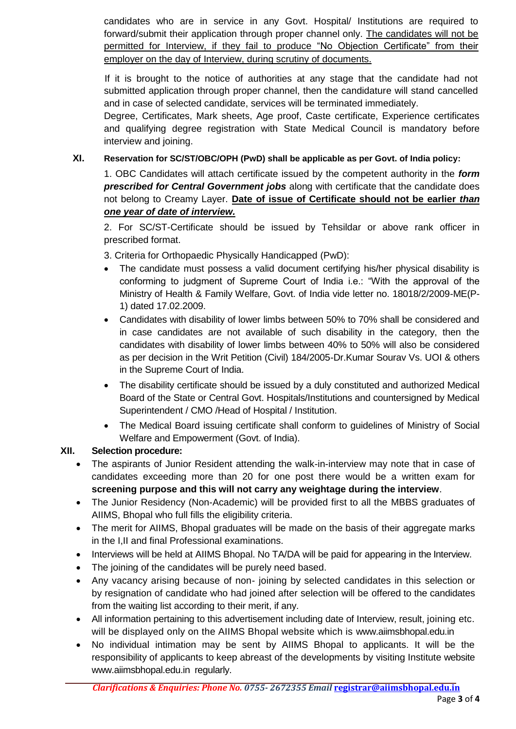candidates who are in service in any Govt. Hospital/ Institutions are required to forward/submit their application through proper channel only. The candidates will not be permitted for Interview, if they fail to produce "No Objection Certificate" from their employer on the day of Interview, during scrutiny of documents.

If it is brought to the notice of authorities at any stage that the candidate had not submitted application through proper channel, then the candidature will stand cancelled and in case of selected candidate, services will be terminated immediately.

Degree, Certificates, Mark sheets, Age proof, Caste certificate, Experience certificates and qualifying degree registration with State Medical Council is mandatory before interview and joining.

## **XI. Reservation for SC/ST/OBC/OPH (PwD) shall be applicable as per Govt. of India policy:**

1. OBC Candidates will attach certificate issued by the competent authority in the *form prescribed for Central Government jobs* along with certificate that the candidate does not belong to Creamy Layer. **Date of issue of Certificate should not be earlier** *than one year of date of interview.* 

2. For SC/ST-Certificate should be issued by Tehsildar or above rank officer in prescribed format.

3. Criteria for Orthopaedic Physically Handicapped (PwD):

- The candidate must possess a valid document certifying his/her physical disability is conforming to judgment of Supreme Court of India i.e.: "With the approval of the Ministry of Health & Family Welfare, Govt. of India vide letter no. 18018/2/2009-ME(P-1) dated 17.02.2009.
- Candidates with disability of lower limbs between 50% to 70% shall be considered and in case candidates are not available of such disability in the category, then the candidates with disability of lower limbs between 40% to 50% will also be considered as per decision in the Writ Petition (Civil) 184/2005-Dr.Kumar Sourav Vs. UOI & others in the Supreme Court of India.
- The disability certificate should be issued by a duly constituted and authorized Medical Board of the State or Central Govt. Hospitals/Institutions and countersigned by Medical Superintendent / CMO /Head of Hospital / Institution.
- The Medical Board issuing certificate shall conform to guidelines of Ministry of Social Welfare and Empowerment (Govt. of India).

## **XII. Selection procedure:**

- The aspirants of Junior Resident attending the walk-in-interview may note that in case of candidates exceeding more than 20 for one post there would be a written exam for **screening purpose and this will not carry any weightage during the interview**.
- The Junior Residency (Non-Academic) will be provided first to all the MBBS graduates of AIIMS, Bhopal who full fills the eligibility criteria.
- The merit for AIIMS, Bhopal graduates will be made on the basis of their aggregate marks in the I,II and final Professional examinations.
- Interviews will be held at AIIMS Bhopal. No TA/DA will be paid for appearing in the Interview.
- The joining of the candidates will be purely need based.
- Any vacancy arising because of non- joining by selected candidates in this selection or by resignation of candidate who had joined after selection will be offered to the candidates from the waiting list according to their merit, if any.
- All information pertaining to this advertisement including date of Interview, result, joining etc. will be displayed only on the AIIMS Bhopal website which is [www.aiimsbhopal.edu.in](http://www.aiimsbhopal.edu.in/)
- No individual intimation may be sent by AIIMS Bhopal to applicants. It will be the responsibility of applicants to keep abreast of the developments by visiting Institute website www.aiimsbhopal.edu.in regularly.